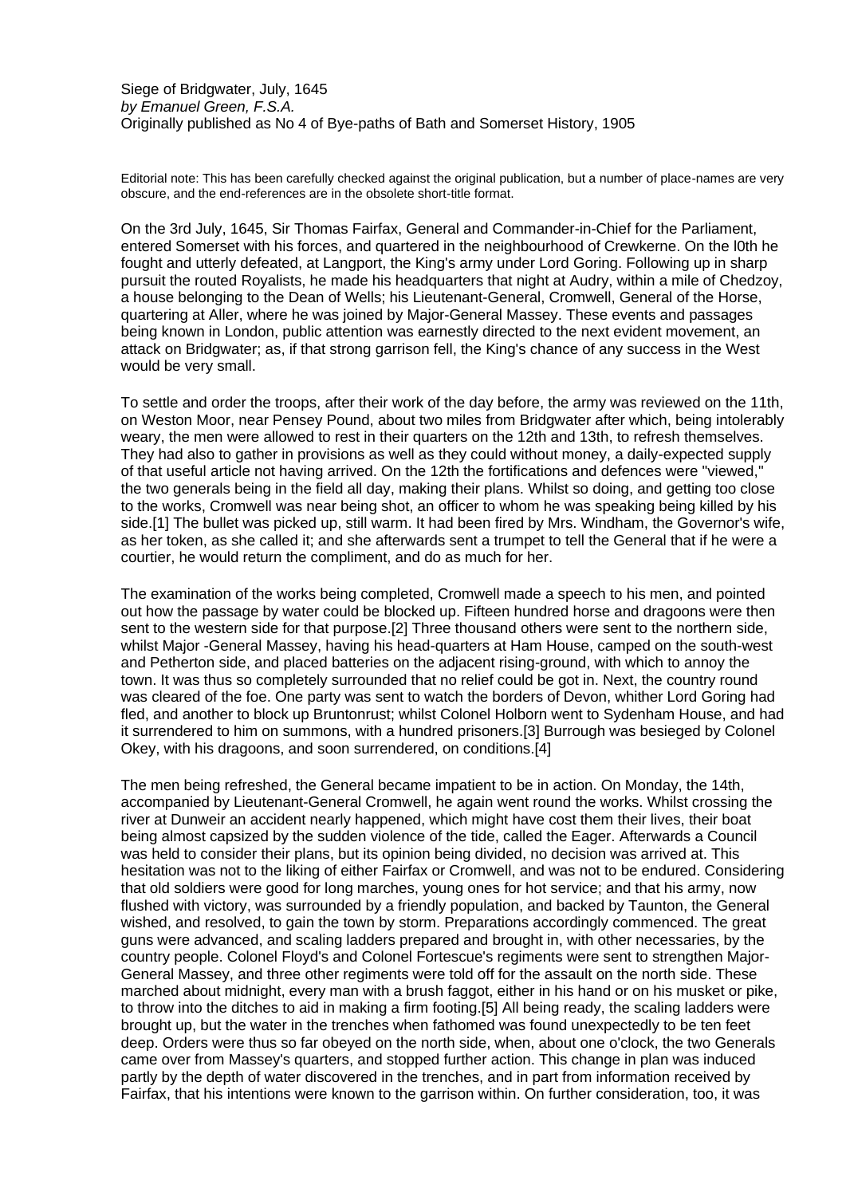Siege of Bridgwater, July, 1645 *by Emanuel Green, F.S.A.* Originally published as No 4 of Bye-paths of Bath and Somerset History, 1905

Editorial note: This has been carefully checked against the original publication, but a number of place-names are very obscure, and the end-references are in the obsolete short-title format.

On the 3rd July, 1645, Sir Thomas Fairfax, General and Commander-in-Chief for the Parliament, entered Somerset with his forces, and quartered in the neighbourhood of Crewkerne. On the l0th he fought and utterly defeated, at Langport, the King's army under Lord Goring. Following up in sharp pursuit the routed Royalists, he made his headquarters that night at Audry, within a mile of Chedzoy, a house belonging to the Dean of Wells; his Lieutenant-General, Cromwell, General of the Horse, quartering at Aller, where he was joined by Major-General Massey. These events and passages being known in London, public attention was earnestly directed to the next evident movement, an attack on Bridgwater; as, if that strong garrison fell, the King's chance of any success in the West would be very small.

To settle and order the troops, after their work of the day before, the army was reviewed on the 11th, on Weston Moor, near Pensey Pound, about two miles from Bridgwater after which, being intolerably weary, the men were allowed to rest in their quarters on the 12th and 13th, to refresh themselves. They had also to gather in provisions as well as they could without money, a daily-expected supply of that useful article not having arrived. On the 12th the fortifications and defences were "viewed," the two generals being in the field all day, making their plans. Whilst so doing, and getting too close to the works, Cromwell was near being shot, an officer to whom he was speaking being killed by his side.[1] The bullet was picked up, still warm. It had been fired by Mrs. Windham, the Governor's wife, as her token, as she called it; and she afterwards sent a trumpet to tell the General that if he were a courtier, he would return the compliment, and do as much for her.

The examination of the works being completed, Cromwell made a speech to his men, and pointed out how the passage by water could be blocked up. Fifteen hundred horse and dragoons were then sent to the western side for that purpose.[2] Three thousand others were sent to the northern side, whilst Major -General Massey, having his head-quarters at Ham House, camped on the south-west and Petherton side, and placed batteries on the adjacent rising-ground, with which to annoy the town. It was thus so completely surrounded that no relief could be got in. Next, the country round was cleared of the foe. One party was sent to watch the borders of Devon, whither Lord Goring had fled, and another to block up Bruntonrust; whilst Colonel Holborn went to Sydenham House, and had it surrendered to him on summons, with a hundred prisoners.[3] Burrough was besieged by Colonel Okey, with his dragoons, and soon surrendered, on conditions.[4]

The men being refreshed, the General became impatient to be in action. On Monday, the 14th, accompanied by Lieutenant-General Cromwell, he again went round the works. Whilst crossing the river at Dunweir an accident nearly happened, which might have cost them their lives, their boat being almost capsized by the sudden violence of the tide, called the Eager. Afterwards a Council was held to consider their plans, but its opinion being divided, no decision was arrived at. This hesitation was not to the liking of either Fairfax or Cromwell, and was not to be endured. Considering that old soldiers were good for long marches, young ones for hot service; and that his army, now flushed with victory, was surrounded by a friendly population, and backed by Taunton, the General wished, and resolved, to gain the town by storm. Preparations accordingly commenced. The great guns were advanced, and scaling ladders prepared and brought in, with other necessaries, by the country people. Colonel Floyd's and Colonel Fortescue's regiments were sent to strengthen Major-General Massey, and three other regiments were told off for the assault on the north side. These marched about midnight, every man with a brush faggot, either in his hand or on his musket or pike, to throw into the ditches to aid in making a firm footing.[5] All being ready, the scaling ladders were brought up, but the water in the trenches when fathomed was found unexpectedly to be ten feet deep. Orders were thus so far obeyed on the north side, when, about one o'clock, the two Generals came over from Massey's quarters, and stopped further action. This change in plan was induced partly by the depth of water discovered in the trenches, and in part from information received by Fairfax, that his intentions were known to the garrison within. On further consideration, too, it was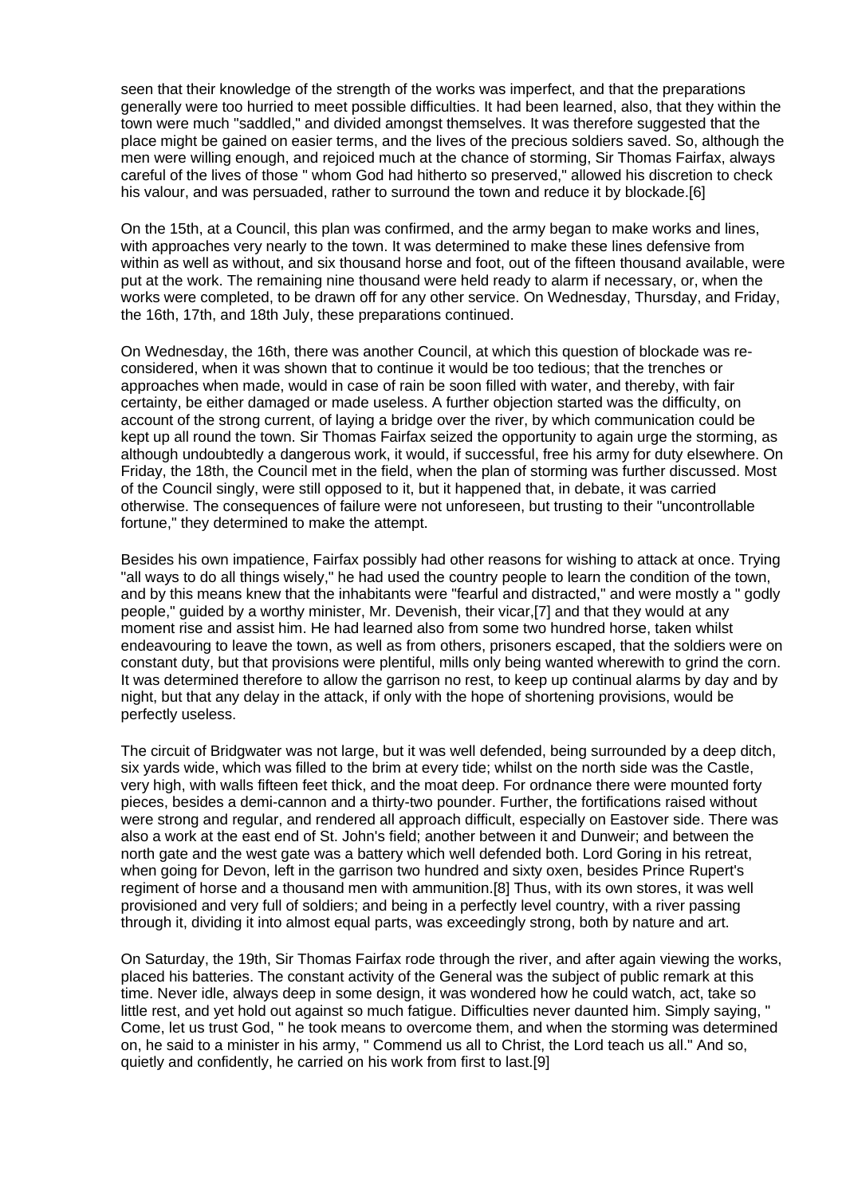seen that their knowledge of the strength of the works was imperfect, and that the preparations generally were too hurried to meet possible difficulties. It had been learned, also, that they within the town were much "saddled," and divided amongst themselves. It was therefore suggested that the place might be gained on easier terms, and the lives of the precious soldiers saved. So, although the men were willing enough, and rejoiced much at the chance of storming, Sir Thomas Fairfax, always careful of the lives of those " whom God had hitherto so preserved," allowed his discretion to check his valour, and was persuaded, rather to surround the town and reduce it by blockade.[6]

On the 15th, at a Council, this plan was confirmed, and the army began to make works and lines, with approaches very nearly to the town. It was determined to make these lines defensive from within as well as without, and six thousand horse and foot, out of the fifteen thousand available, were put at the work. The remaining nine thousand were held ready to alarm if necessary, or, when the works were completed, to be drawn off for any other service. On Wednesday, Thursday, and Friday, the 16th, 17th, and 18th July, these preparations continued.

On Wednesday, the 16th, there was another Council, at which this question of blockade was reconsidered, when it was shown that to continue it would be too tedious; that the trenches or approaches when made, would in case of rain be soon filled with water, and thereby, with fair certainty, be either damaged or made useless. A further objection started was the difficulty, on account of the strong current, of laying a bridge over the river, by which communication could be kept up all round the town. Sir Thomas Fairfax seized the opportunity to again urge the storming, as although undoubtedly a dangerous work, it would, if successful, free his army for duty elsewhere. On Friday, the 18th, the Council met in the field, when the plan of storming was further discussed. Most of the Council singly, were still opposed to it, but it happened that, in debate, it was carried otherwise. The consequences of failure were not unforeseen, but trusting to their "uncontrollable fortune," they determined to make the attempt.

Besides his own impatience, Fairfax possibly had other reasons for wishing to attack at once. Trying "all ways to do all things wisely," he had used the country people to learn the condition of the town, and by this means knew that the inhabitants were "fearful and distracted," and were mostly a " godly people," guided by a worthy minister, Mr. Devenish, their vicar,[7] and that they would at any moment rise and assist him. He had learned also from some two hundred horse, taken whilst endeavouring to leave the town, as well as from others, prisoners escaped, that the soldiers were on constant duty, but that provisions were plentiful, mills only being wanted wherewith to grind the corn. It was determined therefore to allow the garrison no rest, to keep up continual alarms by day and by night, but that any delay in the attack, if only with the hope of shortening provisions, would be perfectly useless.

The circuit of Bridgwater was not large, but it was well defended, being surrounded by a deep ditch, six yards wide, which was filled to the brim at every tide; whilst on the north side was the Castle, very high, with walls fifteen feet thick, and the moat deep. For ordnance there were mounted forty pieces, besides a demi-cannon and a thirty-two pounder. Further, the fortifications raised without were strong and regular, and rendered all approach difficult, especially on Eastover side. There was also a work at the east end of St. John's field; another between it and Dunweir; and between the north gate and the west gate was a battery which well defended both. Lord Goring in his retreat, when going for Devon, left in the garrison two hundred and sixty oxen, besides Prince Rupert's regiment of horse and a thousand men with ammunition.[8] Thus, with its own stores, it was well provisioned and very full of soldiers; and being in a perfectly level country, with a river passing through it, dividing it into almost equal parts, was exceedingly strong, both by nature and art.

On Saturday, the 19th, Sir Thomas Fairfax rode through the river, and after again viewing the works, placed his batteries. The constant activity of the General was the subject of public remark at this time. Never idle, always deep in some design, it was wondered how he could watch, act, take so little rest, and yet hold out against so much fatigue. Difficulties never daunted him. Simply saying, Come, let us trust God, " he took means to overcome them, and when the storming was determined on, he said to a minister in his army, " Commend us all to Christ, the Lord teach us all." And so, quietly and confidently, he carried on his work from first to last.[9]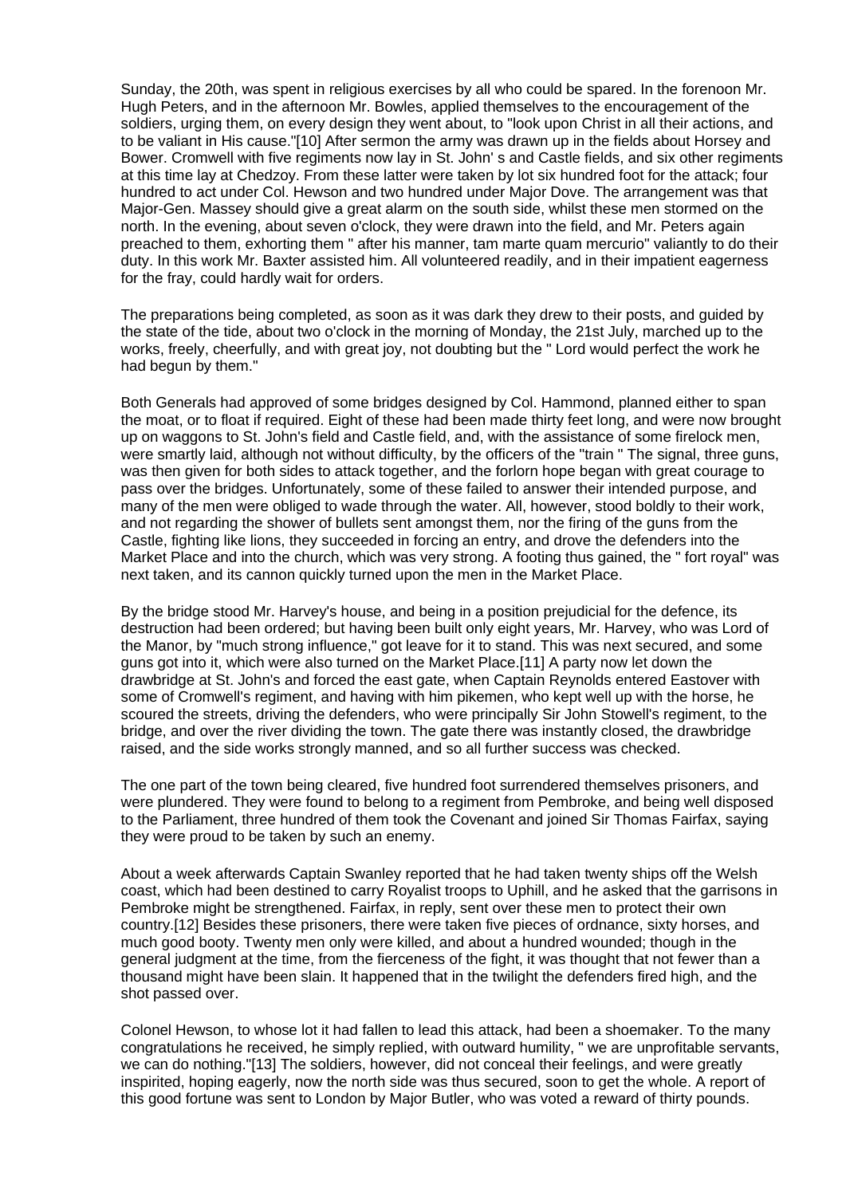Sunday, the 20th, was spent in religious exercises by all who could be spared. In the forenoon Mr. Hugh Peters, and in the afternoon Mr. Bowles, applied themselves to the encouragement of the soldiers, urging them, on every design they went about, to "look upon Christ in all their actions, and to be valiant in His cause."[10] After sermon the army was drawn up in the fields about Horsey and Bower. Cromwell with five regiments now lay in St. John' s and Castle fields, and six other regiments at this time lay at Chedzoy. From these latter were taken by lot six hundred foot for the attack; four hundred to act under Col. Hewson and two hundred under Major Dove. The arrangement was that Major-Gen. Massey should give a great alarm on the south side, whilst these men stormed on the north. In the evening, about seven o'clock, they were drawn into the field, and Mr. Peters again preached to them, exhorting them " after his manner, tam marte quam mercurio" valiantly to do their duty. In this work Mr. Baxter assisted him. All volunteered readily, and in their impatient eagerness for the fray, could hardly wait for orders.

The preparations being completed, as soon as it was dark they drew to their posts, and guided by the state of the tide, about two o'clock in the morning of Monday, the 21st July, marched up to the works, freely, cheerfully, and with great joy, not doubting but the " Lord would perfect the work he had begun by them."

Both Generals had approved of some bridges designed by Col. Hammond, planned either to span the moat, or to float if required. Eight of these had been made thirty feet long, and were now brought up on waggons to St. John's field and Castle field, and, with the assistance of some firelock men, were smartly laid, although not without difficulty, by the officers of the "train " The signal, three guns, was then given for both sides to attack together, and the forlorn hope began with great courage to pass over the bridges. Unfortunately, some of these failed to answer their intended purpose, and many of the men were obliged to wade through the water. All, however, stood boldly to their work, and not regarding the shower of bullets sent amongst them, nor the firing of the guns from the Castle, fighting like lions, they succeeded in forcing an entry, and drove the defenders into the Market Place and into the church, which was very strong. A footing thus gained, the " fort royal" was next taken, and its cannon quickly turned upon the men in the Market Place.

By the bridge stood Mr. Harvey's house, and being in a position prejudicial for the defence, its destruction had been ordered; but having been built only eight years, Mr. Harvey, who was Lord of the Manor, by "much strong influence," got leave for it to stand. This was next secured, and some guns got into it, which were also turned on the Market Place.[11] A party now let down the drawbridge at St. John's and forced the east gate, when Captain Reynolds entered Eastover with some of Cromwell's regiment, and having with him pikemen, who kept well up with the horse, he scoured the streets, driving the defenders, who were principally Sir John Stowell's regiment, to the bridge, and over the river dividing the town. The gate there was instantly closed, the drawbridge raised, and the side works strongly manned, and so all further success was checked.

The one part of the town being cleared, five hundred foot surrendered themselves prisoners, and were plundered. They were found to belong to a regiment from Pembroke, and being well disposed to the Parliament, three hundred of them took the Covenant and joined Sir Thomas Fairfax, saying they were proud to be taken by such an enemy.

About a week afterwards Captain Swanley reported that he had taken twenty ships off the Welsh coast, which had been destined to carry Royalist troops to Uphill, and he asked that the garrisons in Pembroke might be strengthened. Fairfax, in reply, sent over these men to protect their own country.[12] Besides these prisoners, there were taken five pieces of ordnance, sixty horses, and much good booty. Twenty men only were killed, and about a hundred wounded; though in the general judgment at the time, from the fierceness of the fight, it was thought that not fewer than a thousand might have been slain. It happened that in the twilight the defenders fired high, and the shot passed over.

Colonel Hewson, to whose lot it had fallen to lead this attack, had been a shoemaker. To the many congratulations he received, he simply replied, with outward humility, " we are unprofitable servants, we can do nothing."[13] The soldiers, however, did not conceal their feelings, and were greatly inspirited, hoping eagerly, now the north side was thus secured, soon to get the whole. A report of this good fortune was sent to London by Major Butler, who was voted a reward of thirty pounds.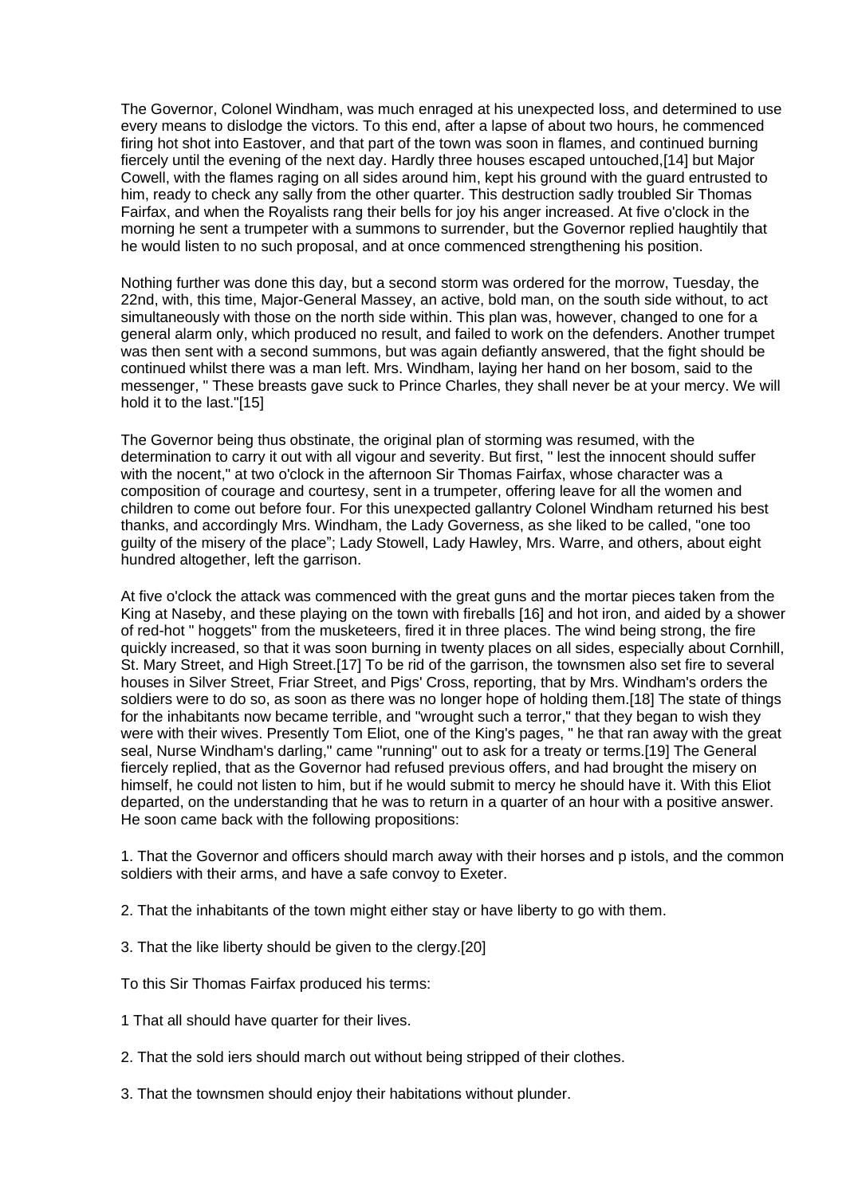The Governor, Colonel Windham, was much enraged at his unexpected loss, and determined to use every means to dislodge the victors. To this end, after a lapse of about two hours, he commenced firing hot shot into Eastover, and that part of the town was soon in flames, and continued burning fiercely until the evening of the next day. Hardly three houses escaped untouched,[14] but Major Cowell, with the flames raging on all sides around him, kept his ground with the guard entrusted to him, ready to check any sally from the other quarter. This destruction sadly troubled Sir Thomas Fairfax, and when the Royalists rang their bells for joy his anger increased. At five o'clock in the morning he sent a trumpeter with a summons to surrender, but the Governor replied haughtily that he would listen to no such proposal, and at once commenced strengthening his position.

Nothing further was done this day, but a second storm was ordered for the morrow, Tuesday, the 22nd, with, this time, Major-General Massey, an active, bold man, on the south side without, to act simultaneously with those on the north side within. This plan was, however, changed to one for a general alarm only, which produced no result, and failed to work on the defenders. Another trumpet was then sent with a second summons, but was again defiantly answered, that the fight should be continued whilst there was a man left. Mrs. Windham, laying her hand on her bosom, said to the messenger, " These breasts gave suck to Prince Charles, they shall never be at your mercy. We will hold it to the last."[15]

The Governor being thus obstinate, the original plan of storming was resumed, with the determination to carry it out with all vigour and severity. But first, " lest the innocent should suffer with the nocent," at two o'clock in the afternoon Sir Thomas Fairfax, whose character was a composition of courage and courtesy, sent in a trumpeter, offering leave for all the women and children to come out before four. For this unexpected gallantry Colonel Windham returned his best thanks, and accordingly Mrs. Windham, the Lady Governess, as she liked to be called, "one too guilty of the misery of the place"; Lady Stowell, Lady Hawley, Mrs. Warre, and others, about eight hundred altogether, left the garrison.

At five o'clock the attack was commenced with the great guns and the mortar pieces taken from the King at Naseby, and these playing on the town with fireballs [16] and hot iron, and aided by a shower of red-hot " hoggets" from the musketeers, fired it in three places. The wind being strong, the fire quickly increased, so that it was soon burning in twenty places on all sides, especially about Cornhill, St. Mary Street, and High Street.[17] To be rid of the garrison, the townsmen also set fire to several houses in Silver Street, Friar Street, and Pigs' Cross, reporting, that by Mrs. Windham's orders the soldiers were to do so, as soon as there was no longer hope of holding them.[18] The state of things for the inhabitants now became terrible, and "wrought such a terror," that they began to wish they were with their wives. Presently Tom Eliot, one of the King's pages, " he that ran away with the great seal, Nurse Windham's darling," came "running" out to ask for a treaty or terms.[19] The General fiercely replied, that as the Governor had refused previous offers, and had brought the misery on himself, he could not listen to him, but if he would submit to mercy he should have it. With this Eliot departed, on the understanding that he was to return in a quarter of an hour with a positive answer. He soon came back with the following propositions:

1. That the Governor and officers should march away with their horses and p istols, and the common soldiers with their arms, and have a safe convoy to Exeter.

- 2. That the inhabitants of the town might either stay or have liberty to go with them.
- 3. That the like liberty should be given to the clergy.[20]

To this Sir Thomas Fairfax produced his terms:

- 1 That all should have quarter for their lives.
- 2. That the sold iers should march out without being stripped of their clothes.
- 3. That the townsmen should enjoy their habitations without plunder.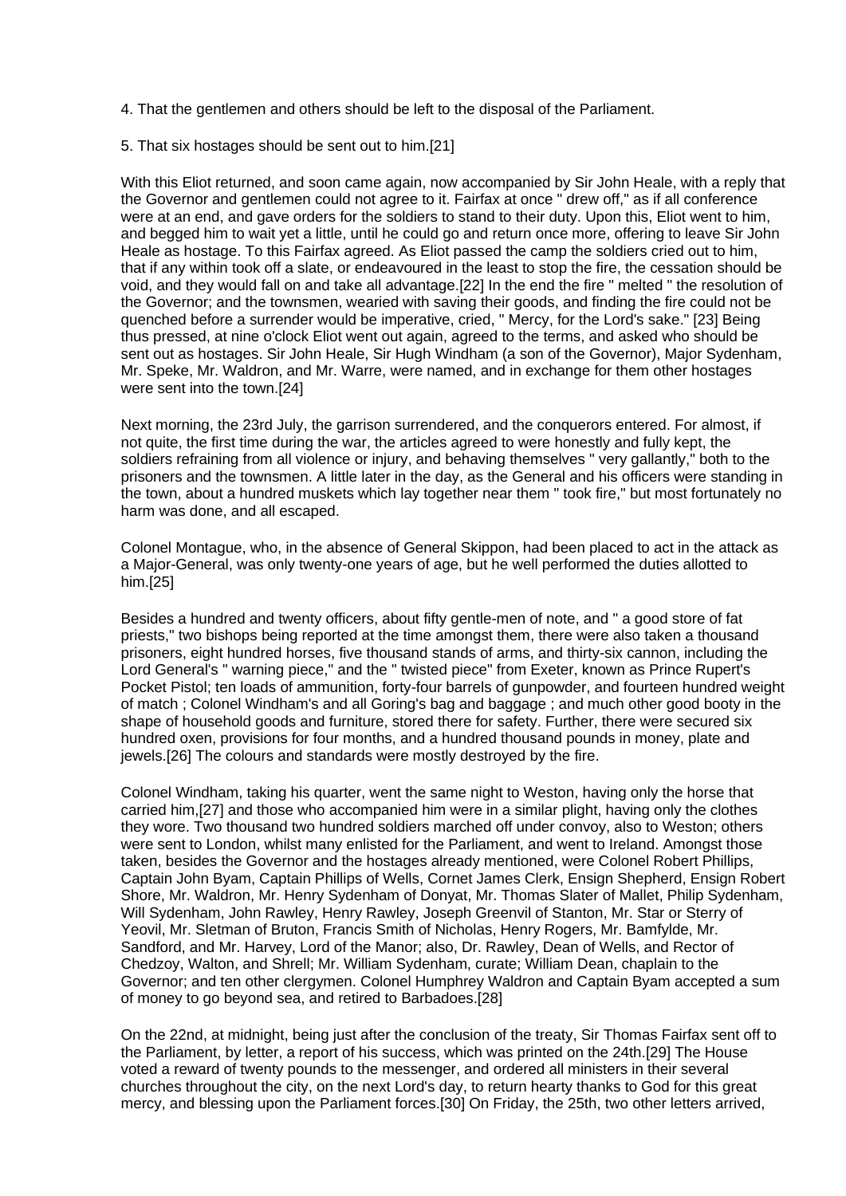4. That the gentlemen and others should be left to the disposal of the Parliament.

5. That six hostages should be sent out to him.[21]

With this Eliot returned, and soon came again, now accompanied by Sir John Heale, with a reply that the Governor and gentlemen could not agree to it. Fairfax at once " drew off," as if all conference were at an end, and gave orders for the soldiers to stand to their duty. Upon this, Eliot went to him, and begged him to wait yet a little, until he could go and return once more, offering to leave Sir John Heale as hostage. To this Fairfax agreed. As Eliot passed the camp the soldiers cried out to him, that if any within took off a slate, or endeavoured in the least to stop the fire, the cessation should be void, and they would fall on and take all advantage.[22] In the end the fire " melted " the resolution of the Governor; and the townsmen, wearied with saving their goods, and finding the fire could not be quenched before a surrender would be imperative, cried, " Mercy, for the Lord's sake." [23] Being thus pressed, at nine o'clock Eliot went out again, agreed to the terms, and asked who should be sent out as hostages. Sir John Heale, Sir Hugh Windham (a son of the Governor), Major Sydenham, Mr. Speke, Mr. Waldron, and Mr. Warre, were named, and in exchange for them other hostages were sent into the town.[24]

Next morning, the 23rd July, the garrison surrendered, and the conquerors entered. For almost, if not quite, the first time during the war, the articles agreed to were honestly and fully kept, the soldiers refraining from all violence or injury, and behaving themselves " very gallantly," both to the prisoners and the townsmen. A little later in the day, as the General and his officers were standing in the town, about a hundred muskets which lay together near them " took fire," but most fortunately no harm was done, and all escaped.

Colonel Montague, who, in the absence of General Skippon, had been placed to act in the attack as a Major-General, was only twenty-one years of age, but he well performed the duties allotted to him.[25]

Besides a hundred and twenty officers, about fifty gentle-men of note, and " a good store of fat priests," two bishops being reported at the time amongst them, there were also taken a thousand prisoners, eight hundred horses, five thousand stands of arms, and thirty-six cannon, including the Lord General's " warning piece," and the " twisted piece" from Exeter, known as Prince Rupert's Pocket Pistol; ten loads of ammunition, forty-four barrels of gunpowder, and fourteen hundred weight of match ; Colonel Windham's and all Goring's bag and baggage ; and much other good booty in the shape of household goods and furniture, stored there for safety. Further, there were secured six hundred oxen, provisions for four months, and a hundred thousand pounds in money, plate and jewels.[26] The colours and standards were mostly destroyed by the fire.

Colonel Windham, taking his quarter, went the same night to Weston, having only the horse that carried him,[27] and those who accompanied him were in a similar plight, having only the clothes they wore. Two thousand two hundred soldiers marched off under convoy, also to Weston; others were sent to London, whilst many enlisted for the Parliament, and went to Ireland. Amongst those taken, besides the Governor and the hostages already mentioned, were Colonel Robert Phillips, Captain John Byam, Captain Phillips of Wells, Cornet James Clerk, Ensign Shepherd, Ensign Robert Shore, Mr. Waldron, Mr. Henry Sydenham of Donyat, Mr. Thomas Slater of Mallet, Philip Sydenham, Will Sydenham, John Rawley, Henry Rawley, Joseph Greenvil of Stanton, Mr. Star or Sterry of Yeovil, Mr. Sletman of Bruton, Francis Smith of Nicholas, Henry Rogers, Mr. Bamfylde, Mr. Sandford, and Mr. Harvey, Lord of the Manor; also, Dr. Rawley, Dean of Wells, and Rector of Chedzoy, Walton, and Shrell; Mr. William Sydenham, curate; William Dean, chaplain to the Governor; and ten other clergymen. Colonel Humphrey Waldron and Captain Byam accepted a sum of money to go beyond sea, and retired to Barbadoes.[28]

On the 22nd, at midnight, being just after the conclusion of the treaty, Sir Thomas Fairfax sent off to the Parliament, by letter, a report of his success, which was printed on the 24th.[29] The House voted a reward of twenty pounds to the messenger, and ordered all ministers in their several churches throughout the city, on the next Lord's day, to return hearty thanks to God for this great mercy, and blessing upon the Parliament forces.[30] On Friday, the 25th, two other letters arrived,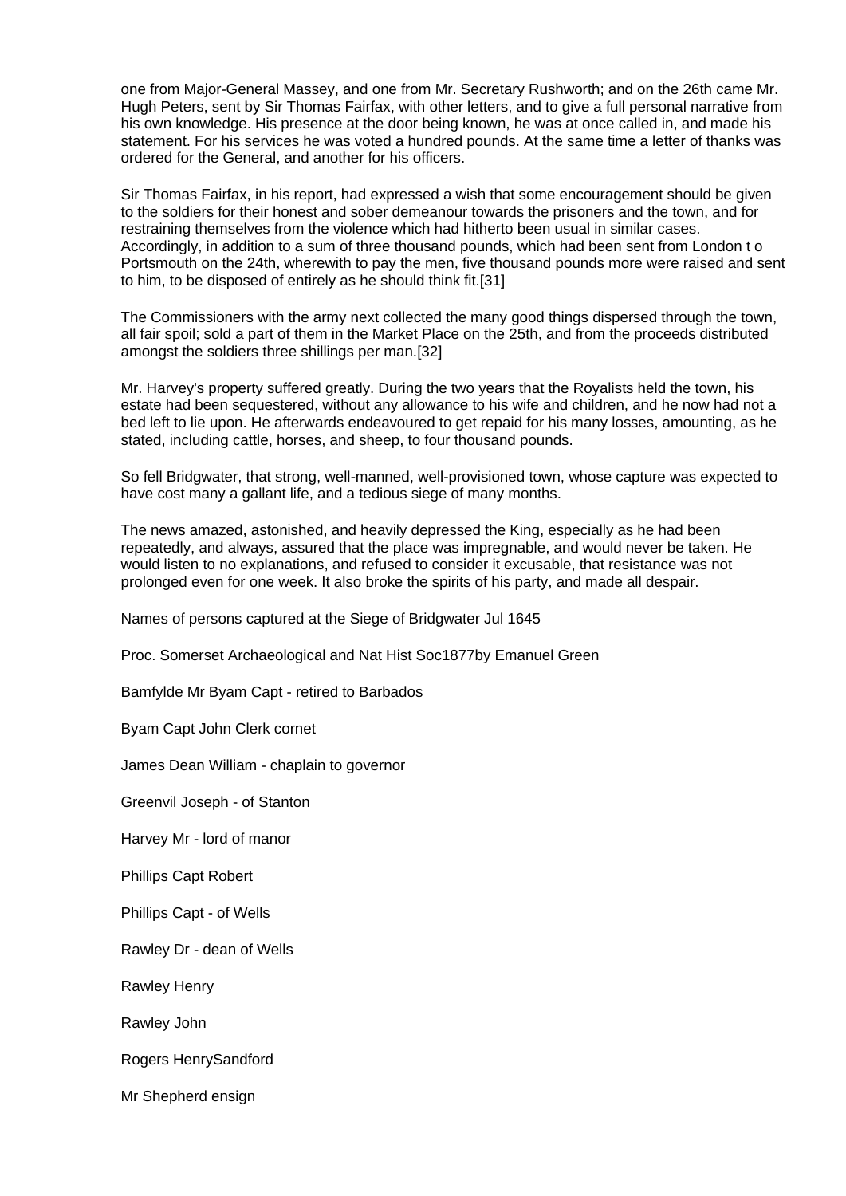one from Major-General Massey, and one from Mr. Secretary Rushworth; and on the 26th came Mr. Hugh Peters, sent by Sir Thomas Fairfax, with other letters, and to give a full personal narrative from his own knowledge. His presence at the door being known, he was at once called in, and made his statement. For his services he was voted a hundred pounds. At the same time a letter of thanks was ordered for the General, and another for his officers.

Sir Thomas Fairfax, in his report, had expressed a wish that some encouragement should be given to the soldiers for their honest and sober demeanour towards the prisoners and the town, and for restraining themselves from the violence which had hitherto been usual in similar cases. Accordingly, in addition to a sum of three thousand pounds, which had been sent from London t o Portsmouth on the 24th, wherewith to pay the men, five thousand pounds more were raised and sent to him, to be disposed of entirely as he should think fit.[31]

The Commissioners with the army next collected the many good things dispersed through the town, all fair spoil; sold a part of them in the Market Place on the 25th, and from the proceeds distributed amongst the soldiers three shillings per man.[32]

Mr. Harvey's property suffered greatly. During the two years that the Royalists held the town, his estate had been sequestered, without any allowance to his wife and children, and he now had not a bed left to lie upon. He afterwards endeavoured to get repaid for his many losses, amounting, as he stated, including cattle, horses, and sheep, to four thousand pounds.

So fell Bridgwater, that strong, well-manned, well-provisioned town, whose capture was expected to have cost many a gallant life, and a tedious siege of many months.

The news amazed, astonished, and heavily depressed the King, especially as he had been repeatedly, and always, assured that the place was impregnable, and would never be taken. He would listen to no explanations, and refused to consider it excusable, that resistance was not prolonged even for one week. It also broke the spirits of his party, and made all despair.

Names of persons captured at the Siege of Bridgwater Jul 1645

Proc. Somerset Archaeological and Nat Hist Soc1877by Emanuel Green

Bamfylde Mr Byam Capt - retired to Barbados

Byam Capt John Clerk cornet

James Dean William - chaplain to governor

Greenvil Joseph - of Stanton

Harvey Mr - lord of manor

Phillips Capt Robert

Phillips Capt - of Wells

Rawley Dr - dean of Wells

Rawley Henry

Rawley John

Rogers HenrySandford

Mr Shepherd ensign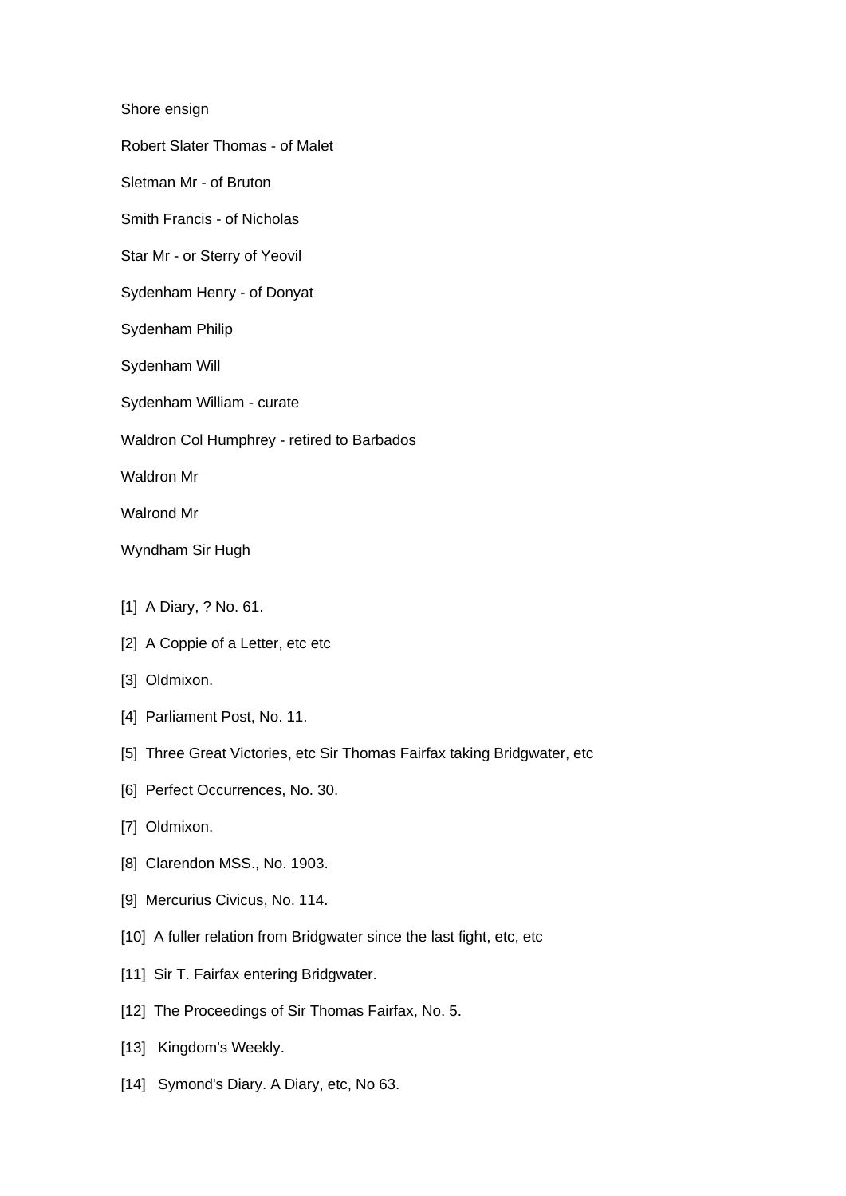Shore ensign

Robert Slater Thomas - of Malet

Sletman Mr - of Bruton

Smith Francis - of Nicholas

Star Mr - or Sterry of Yeovil

Sydenham Henry - of Donyat

- Sydenham Philip
- Sydenham Will
- Sydenham William curate
- Waldron Col Humphrey retired to Barbados

Waldron Mr

Walrond Mr

Wyndham Sir Hugh

- [1] A Diary, ? No. 61.
- [2] A Coppie of a Letter, etc etc
- [3] Oldmixon.
- [4] Parliament Post, No. 11.
- [5] Three Great Victories, etc Sir Thomas Fairfax taking Bridgwater, etc
- [6] Perfect Occurrences, No. 30.
- [7] Oldmixon.
- [8] Clarendon MSS., No. 1903.
- [9] Mercurius Civicus, No. 114.
- [10] A fuller relation from Bridgwater since the last fight, etc, etc
- [11] Sir T. Fairfax entering Bridgwater.
- [12] The Proceedings of Sir Thomas Fairfax, No. 5.
- [13] Kingdom's Weekly.
- [14] Symond's Diary. A Diary, etc, No 63.